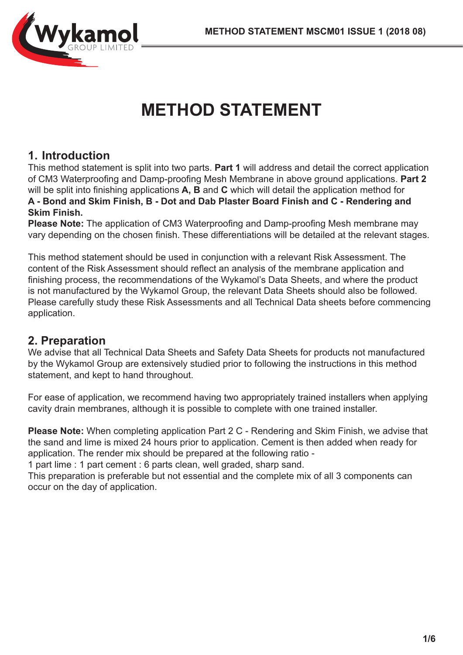

# **METHOD STATEMENT**

## **1. Introduction**

This method statement is split into two parts. **Part 1** will address and detail the correct application of CM3 Waterproofing and Damp-proofing Mesh Membrane in above ground applications. **Part 2**  will be split into finishing applications **A, B** and **C** which will detail the application method for **A - Bond and Skim Finish, B - Dot and Dab Plaster Board Finish and C - Rendering and Skim Finish.**

**Please Note:** The application of CM3 Waterproofing and Damp-proofing Mesh membrane may vary depending on the chosen finish. These differentiations will be detailed at the relevant stages.

This method statement should be used in conjunction with a relevant Risk Assessment. The content of the Risk Assessment should reflect an analysis of the membrane application and finishing process, the recommendations of the Wykamol's Data Sheets, and where the product is not manufactured by the Wykamol Group, the relevant Data Sheets should also be followed. Please carefully study these Risk Assessments and all Technical Data sheets before commencing application.

### **2. Preparation**

We advise that all Technical Data Sheets and Safety Data Sheets for products not manufactured by the Wykamol Group are extensively studied prior to following the instructions in this method statement, and kept to hand throughout.

For ease of application, we recommend having two appropriately trained installers when applying cavity drain membranes, although it is possible to complete with one trained installer.

**Please Note:** When completing application Part 2 C - Rendering and Skim Finish, we advise that the sand and lime is mixed 24 hours prior to application. Cement is then added when ready for application. The render mix should be prepared at the following ratio -

1 part lime : 1 part cement : 6 parts clean, well graded, sharp sand.

This preparation is preferable but not essential and the complete mix of all 3 components can occur on the day of application.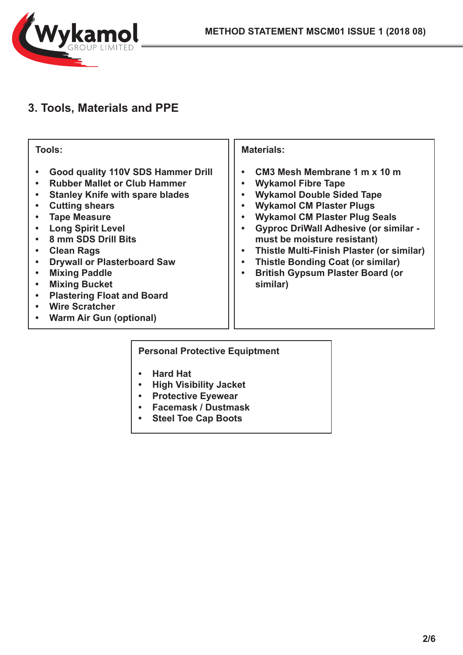

# **3. Tools, Materials and PPE**

| Tools:                                                                                                                                                                                                                                                                                                                                                                                                                            | <b>Materials:</b>                                                                                                                                                                                                                                                                                                                                                                                       |
|-----------------------------------------------------------------------------------------------------------------------------------------------------------------------------------------------------------------------------------------------------------------------------------------------------------------------------------------------------------------------------------------------------------------------------------|---------------------------------------------------------------------------------------------------------------------------------------------------------------------------------------------------------------------------------------------------------------------------------------------------------------------------------------------------------------------------------------------------------|
| Good quality 110V SDS Hammer Drill<br><b>Rubber Mallet or Club Hammer</b><br><b>Stanley Knife with spare blades</b><br><b>Cutting shears</b><br><b>Tape Measure</b><br><b>Long Spirit Level</b><br>8 mm SDS Drill Bits<br><b>Clean Rags</b><br><b>Drywall or Plasterboard Saw</b><br><b>Mixing Paddle</b><br><b>Mixing Bucket</b><br><b>Plastering Float and Board</b><br><b>Wire Scratcher</b><br><b>Warm Air Gun (optional)</b> | CM3 Mesh Membrane 1 m x 10 m<br><b>Wykamol Fibre Tape</b><br><b>Wykamol Double Sided Tape</b><br><b>Wykamol CM Plaster Plugs</b><br><b>Wykamol CM Plaster Plug Seals</b><br><b>Gyproc DriWall Adhesive (or similar -</b><br>must be moisture resistant)<br>Thistle Multi-Finish Plaster (or similar)<br><b>Thistle Bonding Coat (or similar)</b><br><b>British Gypsum Plaster Board (or</b><br>similar) |

#### **Personal Protective Equiptment**

- **• Hard Hat**
- **• High Visibility Jacket**
- **• Protective Eyewear**
- **• Facemask / Dustmask**
- **• Steel Toe Cap Boots**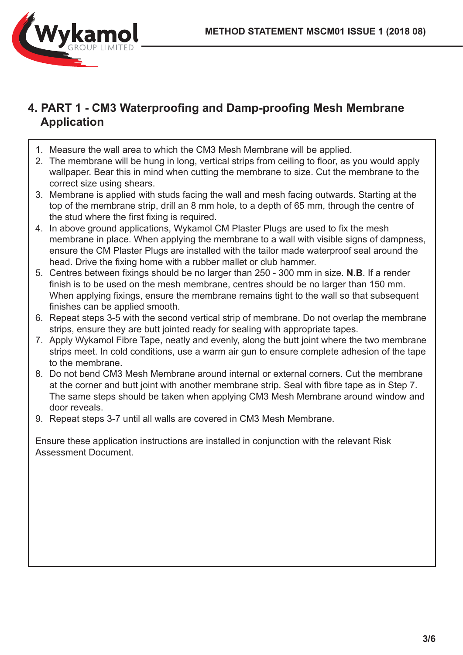

## **4. PART 1 - CM3 Waterproofing and Damp-proofing Mesh Membrane Application**

- 1. Measure the wall area to which the CM3 Mesh Membrane will be applied.
- 2. The membrane will be hung in long, vertical strips from ceiling to floor, as you would apply wallpaper. Bear this in mind when cutting the membrane to size. Cut the membrane to the correct size using shears.
- 3. Membrane is applied with studs facing the wall and mesh facing outwards. Starting at the top of the membrane strip, drill an 8 mm hole, to a depth of 65 mm, through the centre of the stud where the first fixing is required.
- 4. In above ground applications, Wykamol CM Plaster Plugs are used to fix the mesh membrane in place. When applying the membrane to a wall with visible signs of dampness, ensure the CM Plaster Plugs are installed with the tailor made waterproof seal around the head. Drive the fixing home with a rubber mallet or club hammer.
- 5. Centres between fixings should be no larger than 250 300 mm in size. **N.B**. If a render finish is to be used on the mesh membrane, centres should be no larger than 150 mm. When applying fixings, ensure the membrane remains tight to the wall so that subsequent finishes can be applied smooth.
- 6. Repeat steps 3-5 with the second vertical strip of membrane. Do not overlap the membrane strips, ensure they are butt jointed ready for sealing with appropriate tapes.
- 7. Apply Wykamol Fibre Tape, neatly and evenly, along the butt joint where the two membrane strips meet. In cold conditions, use a warm air gun to ensure complete adhesion of the tape to the membrane.
- 8. Do not bend CM3 Mesh Membrane around internal or external corners. Cut the membrane at the corner and butt joint with another membrane strip. Seal with fibre tape as in Step 7. The same steps should be taken when applying CM3 Mesh Membrane around window and door reveals.
- 9. Repeat steps 3-7 until all walls are covered in CM3 Mesh Membrane.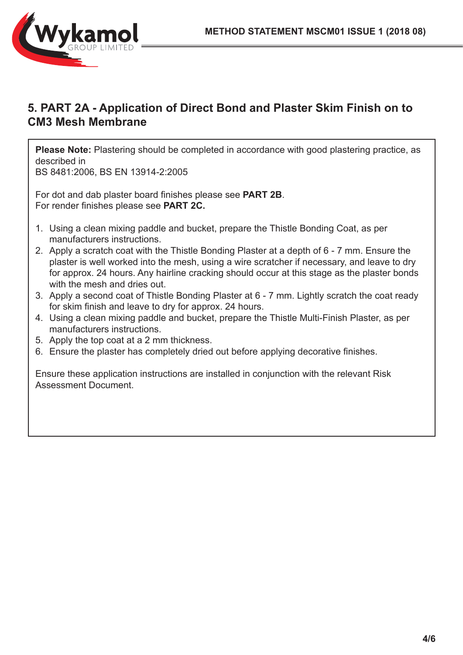

## **5. PART 2A - Application of Direct Bond and Plaster Skim Finish on to CM3 Mesh Membrane**

**Please Note:** Plastering should be completed in accordance with good plastering practice, as described in

BS 8481:2006, BS EN 13914-2:2005

For dot and dab plaster board finishes please see **PART 2B**. For render finishes please see **PART 2C.**

- 1. Using a clean mixing paddle and bucket, prepare the Thistle Bonding Coat, as per manufacturers instructions.
- 2. Apply a scratch coat with the Thistle Bonding Plaster at a depth of 6 7 mm. Ensure the plaster is well worked into the mesh, using a wire scratcher if necessary, and leave to dry for approx. 24 hours. Any hairline cracking should occur at this stage as the plaster bonds with the mesh and dries out.
- 3. Apply a second coat of Thistle Bonding Plaster at 6 7 mm. Lightly scratch the coat ready for skim finish and leave to dry for approx. 24 hours.
- 4. Using a clean mixing paddle and bucket, prepare the Thistle Multi-Finish Plaster, as per manufacturers instructions.
- 5. Apply the top coat at a 2 mm thickness.
- 6. Ensure the plaster has completely dried out before applying decorative finishes.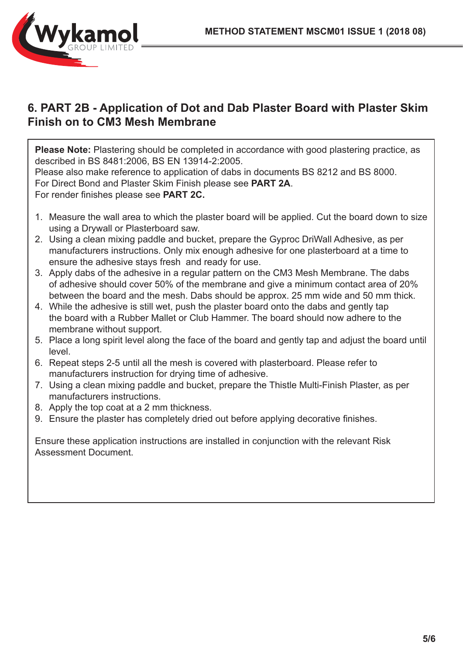

## **6. PART 2B - Application of Dot and Dab Plaster Board with Plaster Skim Finish on to CM3 Mesh Membrane**

**Please Note:** Plastering should be completed in accordance with good plastering practice, as described in BS 8481:2006, BS EN 13914-2:2005. Please also make reference to application of dabs in documents BS 8212 and BS 8000. For Direct Bond and Plaster Skim Finish please see **PART 2A**. For render finishes please see **PART 2C.**

- 1. Measure the wall area to which the plaster board will be applied. Cut the board down to size using a Drywall or Plasterboard saw.
- 2. Using a clean mixing paddle and bucket, prepare the Gyproc DriWall Adhesive, as per manufacturers instructions. Only mix enough adhesive for one plasterboard at a time to ensure the adhesive stays fresh and ready for use.
- 3. Apply dabs of the adhesive in a regular pattern on the CM3 Mesh Membrane. The dabs of adhesive should cover 50% of the membrane and give a minimum contact area of 20% between the board and the mesh. Dabs should be approx. 25 mm wide and 50 mm thick.
- 4. While the adhesive is still wet, push the plaster board onto the dabs and gently tap the board with a Rubber Mallet or Club Hammer. The board should now adhere to the membrane without support.
- 5. Place a long spirit level along the face of the board and gently tap and adjust the board until level.
- 6. Repeat steps 2-5 until all the mesh is covered with plasterboard. Please refer to manufacturers instruction for drying time of adhesive.
- 7. Using a clean mixing paddle and bucket, prepare the Thistle Multi-Finish Plaster, as per manufacturers instructions.
- 8. Apply the top coat at a 2 mm thickness.
- 9. Ensure the plaster has completely dried out before applying decorative finishes.